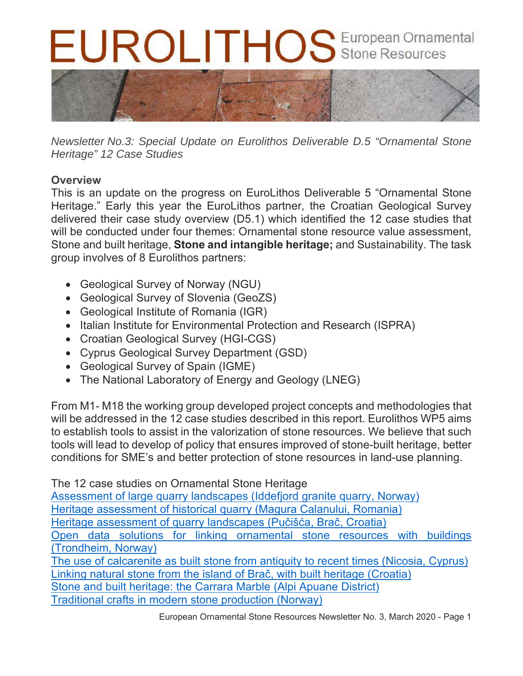# EUROLITHOS European Ornamental



*Newsletter No.3: Special Update on Eurolithos Deliverable D.5 "Ornamental Stone Heritage" 12 Case Studies* 

# **Overview**

This is an update on the progress on EuroLithos Deliverable 5 "Ornamental Stone Heritage." Early this year the EuroLithos partner, the Croatian Geological Survey delivered their case study overview (D5.1) which identified the 12 case studies that will be conducted under four themes: Ornamental stone resource value assessment, Stone and built heritage, **Stone and intangible heritage;** and Sustainability. The task group involves of 8 Eurolithos partners:

- Geological Survey of Norway (NGU)
- Geological Survey of Slovenia (GeoZS)
- Geological Institute of Romania (IGR)
- Italian Institute for Environmental Protection and Research (ISPRA)
- Croatian Geological Survey (HGI-CGS)
- Cyprus Geological Survey Department (GSD)
- Geological Survey of Spain (IGME)
- The National Laboratory of Energy and Geology (LNEG)

From M1- M18 the working group developed project concepts and methodologies that will be addressed in the 12 case studies described in this report. Eurolithos WP5 aims to establish tools to assist in the valorization of stone resources. We believe that such tools will lead to develop of policy that ensures improved of stone-built heritage, better conditions for SME's and better protection of stone resources in land-use planning.

The 12 case studies on Ornamental Stone Heritage

Assessment of large quarry landscapes (Iddefjord granite quarry, Norway) Heritage assessment of historical quarry (Magura Calanului, Romania) Heritage assessment of quarry landscapes (Pučišća, Brač, Croatia) Open data solutions for linking ornamental stone resources with buildings (Trondheim, Norway) The use of calcarenite as built stone from antiquity to recent times (Nicosia, Cyprus) Linking natural stone from the island of Brač, with built heritage (Croatia) Stone and built heritage: the Carrara Marble (Alpi Apuane District)

Traditional crafts in modern stone production (Norway)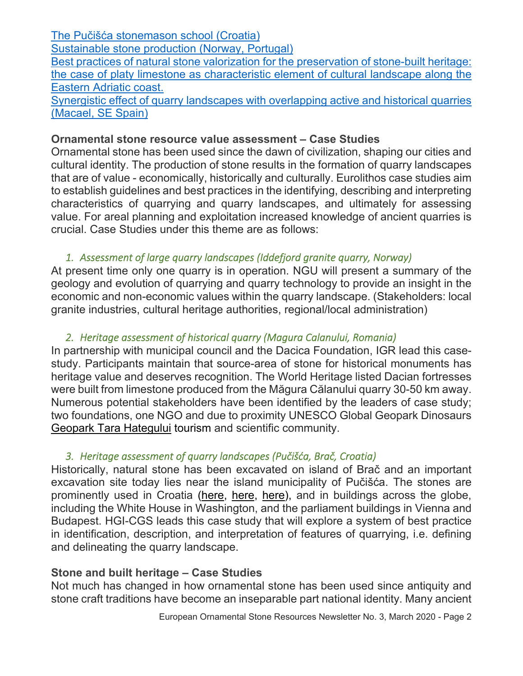| The Pučišća stonemason school (Croatia)                                                    |
|--------------------------------------------------------------------------------------------|
| Sustainable stone production (Norway, Portugal)                                            |
| Best practices of natural stone valorization for the preservation of stone-built heritage: |
| the case of platy limestone as characteristic element of cultural landscape along the      |
| Eastern Adriatic coast.                                                                    |
| Synergistic effect of quarry landscapes with overlapping active and historical quarries    |
| (Macael, SE Spain)                                                                         |

#### **Ornamental stone resource value assessment – Case Studies**

Ornamental stone has been used since the dawn of civilization, shaping our cities and cultural identity. The production of stone results in the formation of quarry landscapes that are of value - economically, historically and culturally. Eurolithos case studies aim to establish guidelines and best practices in the identifying, describing and interpreting characteristics of quarrying and quarry landscapes, and ultimately for assessing value. For areal planning and exploitation increased knowledge of ancient quarries is crucial. Case Studies under this theme are as follows:

## *1. Assessment of large quarry landscapes (Iddefjord granite quarry, Norway)*

At present time only one quarry is in operation. NGU will present a summary of the geology and evolution of quarrying and quarry technology to provide an insight in the economic and non-economic values within the quarry landscape. (Stakeholders: local granite industries, cultural heritage authorities, regional/local administration)

## *2. Heritage assessment of historical quarry (Magura Calanului, Romania)*

In partnership with municipal council and the Dacica Foundation, IGR lead this casestudy. Participants maintain that source-area of stone for historical monuments has heritage value and deserves recognition. The World Heritage listed Dacian fortresses were built from limestone produced from the Măgura Călanului quarry 30-50 km away. Numerous potential stakeholders have been identified by the leaders of case study; two foundations, one NGO and due to proximity UNESCO Global Geopark Dinosaurs Geopark Tara Hategului tourism and scientific community.

## *3. Heritage assessment of quarry landscapes (Pučišća, Brač, Croatia)*

Historically, natural stone has been excavated on island of Brač and an important excavation site today lies near the island municipality of Pučišća. The stones are prominently used in Croatia (here, here, here), and in buildings across the globe, including the White House in Washington, and the parliament buildings in Vienna and Budapest. HGI-CGS leads this case study that will explore a system of best practice in identification, description, and interpretation of features of quarrying, i.e. defining and delineating the quarry landscape.

## **Stone and built heritage – Case Studies**

Not much has changed in how ornamental stone has been used since antiquity and stone craft traditions have become an inseparable part national identity. Many ancient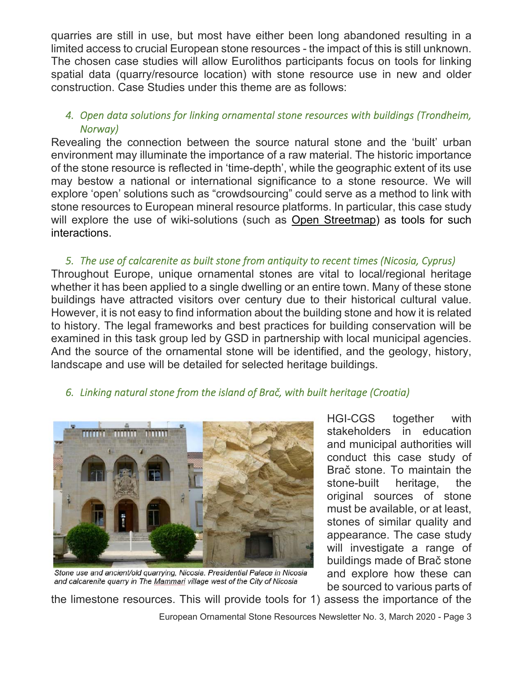quarries are still in use, but most have either been long abandoned resulting in a limited access to crucial European stone resources - the impact of this is still unknown. The chosen case studies will allow Eurolithos participants focus on tools for linking spatial data (quarry/resource location) with stone resource use in new and older construction. Case Studies under this theme are as follows:

## *4. Open data solutions for linking ornamental stone resources with buildings (Trondheim, Norway)*

Revealing the connection between the source natural stone and the 'built' urban environment may illuminate the importance of a raw material. The historic importance of the stone resource is reflected in 'time-depth', while the geographic extent of its use may bestow a national or international significance to a stone resource. We will explore 'open' solutions such as "crowdsourcing" could serve as a method to link with stone resources to European mineral resource platforms. In particular, this case study will explore the use of wiki-solutions (such as Open Streetmap) as tools for such interactions.

*5. The use of calcarenite as built stone from antiquity to recent times (Nicosia, Cyprus)*  Throughout Europe, unique ornamental stones are vital to local/regional heritage whether it has been applied to a single dwelling or an entire town. Many of these stone buildings have attracted visitors over century due to their historical cultural value. However, it is not easy to find information about the building stone and how it is related to history. The legal frameworks and best practices for building conservation will be examined in this task group led by GSD in partnership with local municipal agencies. And the source of the ornamental stone will be identified, and the geology, history, landscape and use will be detailed for selected heritage buildings.

## *6. Linking natural stone from the island of Brač, with built heritage (Croatia)*



Stone use and ancient/old quarrying, Nicosia. Presidential Palace in Nicosia and calcarenite quarry in The Mammari village west of the City of Nicosia

HGI-CGS together with stakeholders in education and municipal authorities will conduct this case study of Brač stone. To maintain the stone-built heritage, the original sources of stone must be available, or at least, stones of similar quality and appearance. The case study will investigate a range of buildings made of Brač stone and explore how these can be sourced to various parts of

the limestone resources. This will provide tools for 1) assess the importance of the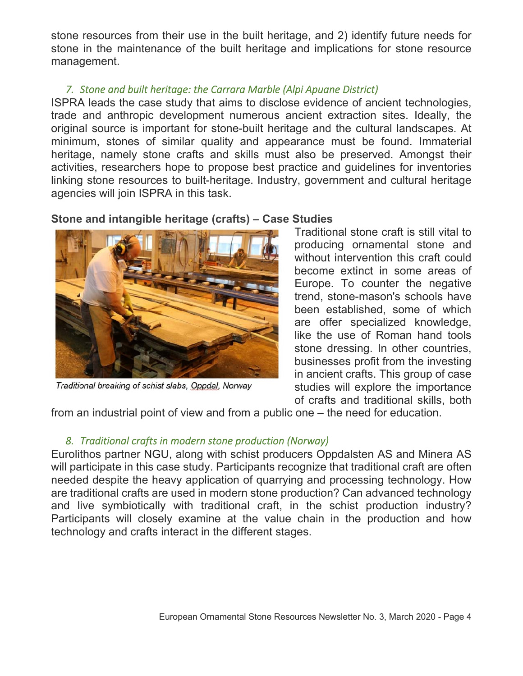stone resources from their use in the built heritage, and 2) identify future needs for stone in the maintenance of the built heritage and implications for stone resource management.

## *7. Stone and built heritage: the Carrara Marble (Alpi Apuane District)*

ISPRA leads the case study that aims to disclose evidence of ancient technologies, trade and anthropic development numerous ancient extraction sites. Ideally, the original source is important for stone-built heritage and the cultural landscapes. At minimum, stones of similar quality and appearance must be found. Immaterial heritage, namely stone crafts and skills must also be preserved. Amongst their activities, researchers hope to propose best practice and guidelines for inventories linking stone resources to built-heritage. Industry, government and cultural heritage agencies will join ISPRA in this task.

# **Stone and intangible heritage (crafts) – Case Studies**



Traditional breaking of schist slabs, Oppdal, Norway

Traditional stone craft is still vital to producing ornamental stone and without intervention this craft could become extinct in some areas of Europe. To counter the negative trend, stone-mason's schools have been established, some of which are offer specialized knowledge, like the use of Roman hand tools stone dressing. In other countries, businesses profit from the investing in ancient crafts. This group of case studies will explore the importance of crafts and traditional skills, both

from an industrial point of view and from a public one – the need for education.

# *8. Traditional crafts in modern stone production (Norway)*

Eurolithos partner NGU, along with schist producers Oppdalsten AS and Minera AS will participate in this case study. Participants recognize that traditional craft are often needed despite the heavy application of quarrying and processing technology. How are traditional crafts are used in modern stone production? Can advanced technology and live symbiotically with traditional craft, in the schist production industry? Participants will closely examine at the value chain in the production and how technology and crafts interact in the different stages.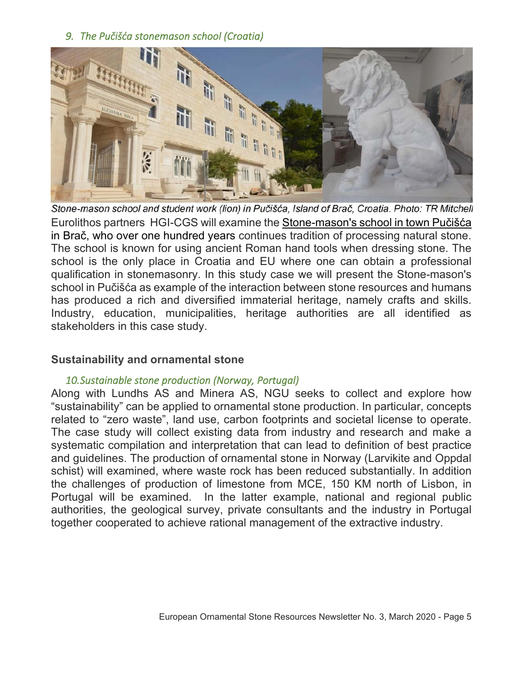#### *9. The Pučišća stonemason school (Croatia)*



Stone-mason school and student work (lion) in Pučišća, Island of Brač, Croatia. Photo: TR Mitchell Eurolithos partners HGI-CGS will examine the Stone-mason's school in town Pučišća in Brač, who over one hundred years continues tradition of processing natural stone. The school is known for using ancient Roman hand tools when dressing stone. The school is the only place in Croatia and EU where one can obtain a professional qualification in stonemasonry. In this study case we will present the Stone-mason's school in Pučišća as example of the interaction between stone resources and humans has produced a rich and diversified immaterial heritage, namely crafts and skills. Industry, education, municipalities, heritage authorities are all identified as stakeholders in this case study.

#### **Sustainability and ornamental stone**

#### *10.Sustainable stone production (Norway, Portugal)*

Along with Lundhs AS and Minera AS, NGU seeks to collect and explore how "sustainability" can be applied to ornamental stone production. In particular, concepts related to "zero waste", land use, carbon footprints and societal license to operate. The case study will collect existing data from industry and research and make a systematic compilation and interpretation that can lead to definition of best practice and guidelines. The production of ornamental stone in Norway (Larvikite and Oppdal schist) will examined, where waste rock has been reduced substantially. In addition the challenges of production of limestone from MCE, 150 KM north of Lisbon, in Portugal will be examined. In the latter example, national and regional public authorities, the geological survey, private consultants and the industry in Portugal together cooperated to achieve rational management of the extractive industry.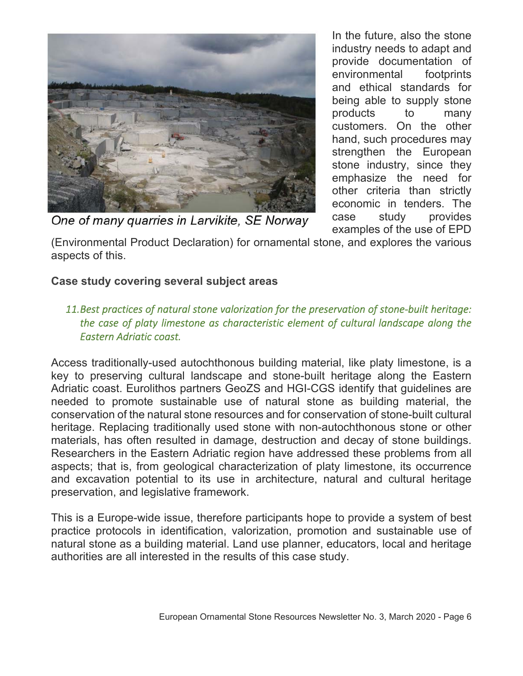

In the future, also the stone industry needs to adapt and provide documentation of environmental footprints and ethical standards for being able to supply stone products to many customers. On the other hand, such procedures may strengthen the European stone industry, since they emphasize the need for other criteria than strictly economic in tenders. The case study provides examples of the use of EPD

One of many quarries in Larvikite, SE Norway

(Environmental Product Declaration) for ornamental stone, and explores the various aspects of this.

# **Case study covering several subject areas**

## *11.Best practices of natural stone valorization for the preservation of stone‐built heritage: the case of platy limestone as characteristic element of cultural landscape along the Eastern Adriatic coast.*

Access traditionally-used autochthonous building material, like platy limestone, is a key to preserving cultural landscape and stone-built heritage along the Eastern Adriatic coast. Eurolithos partners GeoZS and HGI-CGS identify that guidelines are needed to promote sustainable use of natural stone as building material, the conservation of the natural stone resources and for conservation of stone-built cultural heritage. Replacing traditionally used stone with non-autochthonous stone or other materials, has often resulted in damage, destruction and decay of stone buildings. Researchers in the Eastern Adriatic region have addressed these problems from all aspects; that is, from geological characterization of platy limestone, its occurrence and excavation potential to its use in architecture, natural and cultural heritage preservation, and legislative framework.

This is a Europe-wide issue, therefore participants hope to provide a system of best practice protocols in identification, valorization, promotion and sustainable use of natural stone as a building material. Land use planner, educators, local and heritage authorities are all interested in the results of this case study.